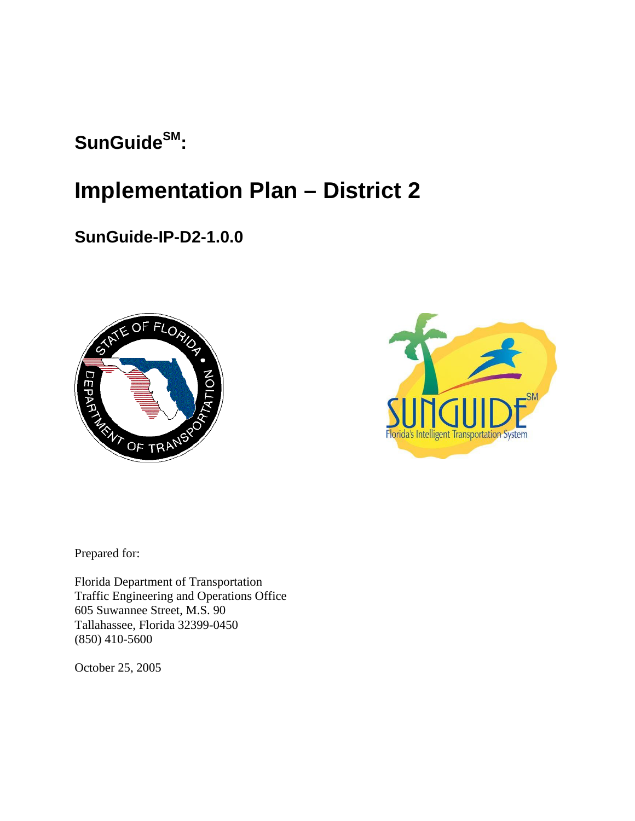# SunGuide<sup>SM</sup>:

# **Implementation Plan – District 2**

# **SunGuide-IP-D2-1.0.0**





Prepared for:

Florida Department of Transportation Traffic Engineering and Operations Office 605 Suwannee Street, M.S. 90 Tallahassee, Florida 32399-0450 (850) 410-5600

October 25, 2005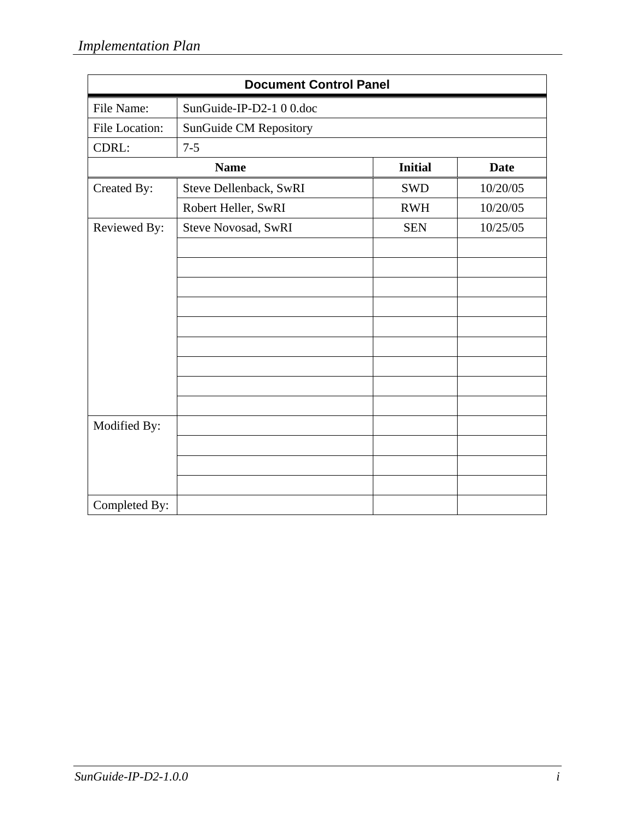| <b>Document Control Panel</b> |                          |                |             |
|-------------------------------|--------------------------|----------------|-------------|
| File Name:                    | SunGuide-IP-D2-1 0 0.doc |                |             |
| File Location:                | SunGuide CM Repository   |                |             |
| CDRL:                         | $7 - 5$                  |                |             |
|                               | <b>Name</b>              | <b>Initial</b> | <b>Date</b> |
| Created By:                   | Steve Dellenback, SwRI   | <b>SWD</b>     | 10/20/05    |
|                               | Robert Heller, SwRI      | <b>RWH</b>     | 10/20/05    |
| Reviewed By:                  | Steve Novosad, SwRI      | <b>SEN</b>     | 10/25/05    |
|                               |                          |                |             |
|                               |                          |                |             |
|                               |                          |                |             |
|                               |                          |                |             |
|                               |                          |                |             |
|                               |                          |                |             |
|                               |                          |                |             |
|                               |                          |                |             |
|                               |                          |                |             |
| Modified By:                  |                          |                |             |
|                               |                          |                |             |
|                               |                          |                |             |
|                               |                          |                |             |
| Completed By:                 |                          |                |             |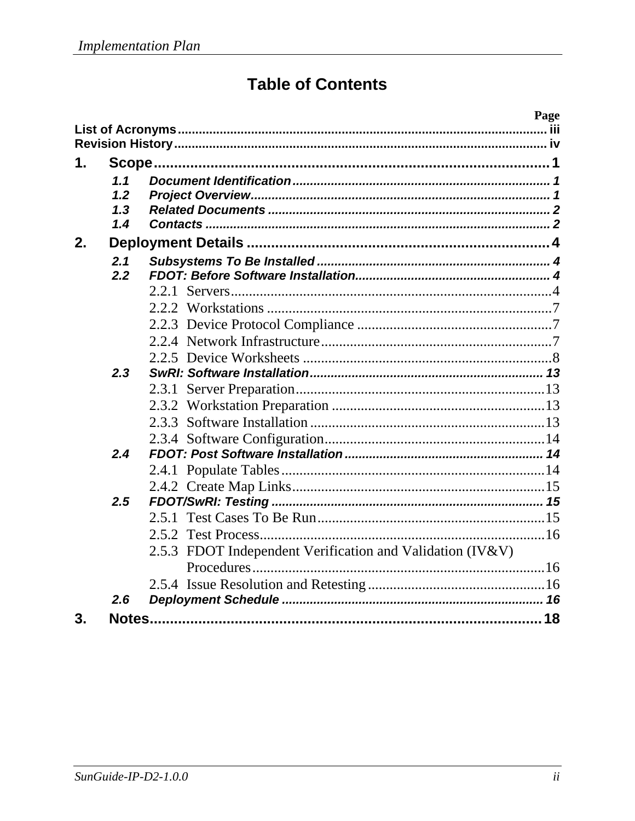# **Table of Contents**

| 1. |                          |                                                              |  |
|----|--------------------------|--------------------------------------------------------------|--|
|    | 1.1<br>1.2<br>1.3<br>1.4 |                                                              |  |
| 2. |                          |                                                              |  |
|    | 2.1<br>2.2               | 2.2.1                                                        |  |
|    |                          |                                                              |  |
|    | 2.3                      |                                                              |  |
|    |                          |                                                              |  |
|    |                          |                                                              |  |
|    |                          |                                                              |  |
|    |                          |                                                              |  |
|    | 2.4                      |                                                              |  |
|    |                          |                                                              |  |
|    |                          |                                                              |  |
|    | 2.5                      |                                                              |  |
|    |                          |                                                              |  |
|    |                          |                                                              |  |
|    |                          | FDOT Independent Verification and Validation (IV&V)<br>2.5.3 |  |
|    |                          |                                                              |  |
|    |                          |                                                              |  |
|    | 2.6                      |                                                              |  |
| 3. |                          |                                                              |  |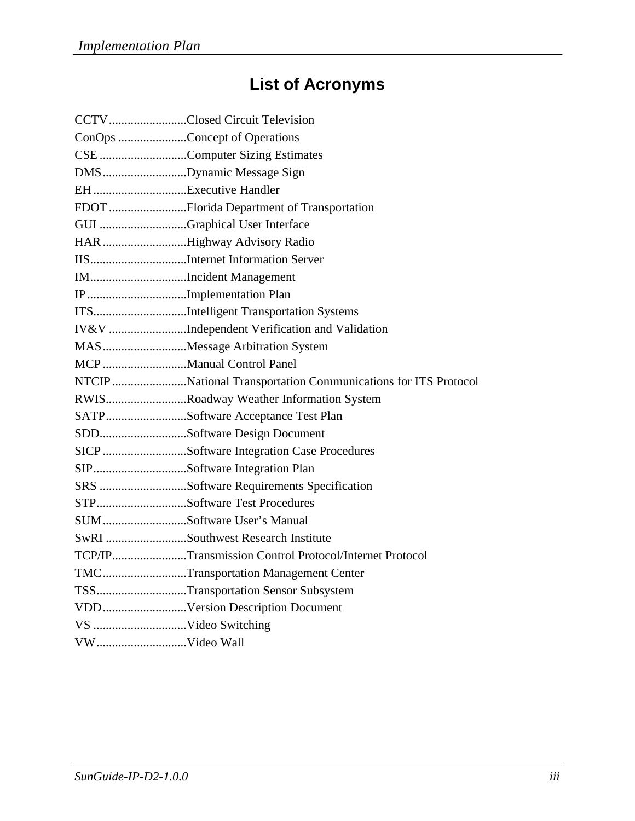# **List of Acronyms**

| CCTVClosed Circuit Television                                 |
|---------------------------------------------------------------|
| ConOps Concept of Operations                                  |
| CSE Computer Sizing Estimates                                 |
| DMSDynamic Message Sign                                       |
|                                                               |
| FDOT Florida Department of Transportation                     |
| GUI Graphical User Interface                                  |
| HAR Highway Advisory Radio                                    |
|                                                               |
| IMIncident Management                                         |
| IPImplementation Plan                                         |
| ITSIntelligent Transportation Systems                         |
| IV&V Independent Verification and Validation                  |
| MASMessage Arbitration System                                 |
| MCP Manual Control Panel                                      |
| NTCIP National Transportation Communications for ITS Protocol |
| RWISRoadway Weather Information System                        |
| SATPSoftware Acceptance Test Plan                             |
| SDDSoftware Design Document                                   |
| SICP Software Integration Case Procedures                     |
| SIPSoftware Integration Plan                                  |
| SRS Software Requirements Specification                       |
| STPSoftware Test Procedures                                   |
| SUMSoftware User's Manual                                     |
| SwRI Southwest Research Institute                             |
| TCP/IPTransmission Control Protocol/Internet Protocol         |
| TMCTransportation Management Center                           |
| TSSTransportation Sensor Subsystem                            |
| VDDVersion Description Document                               |
|                                                               |
|                                                               |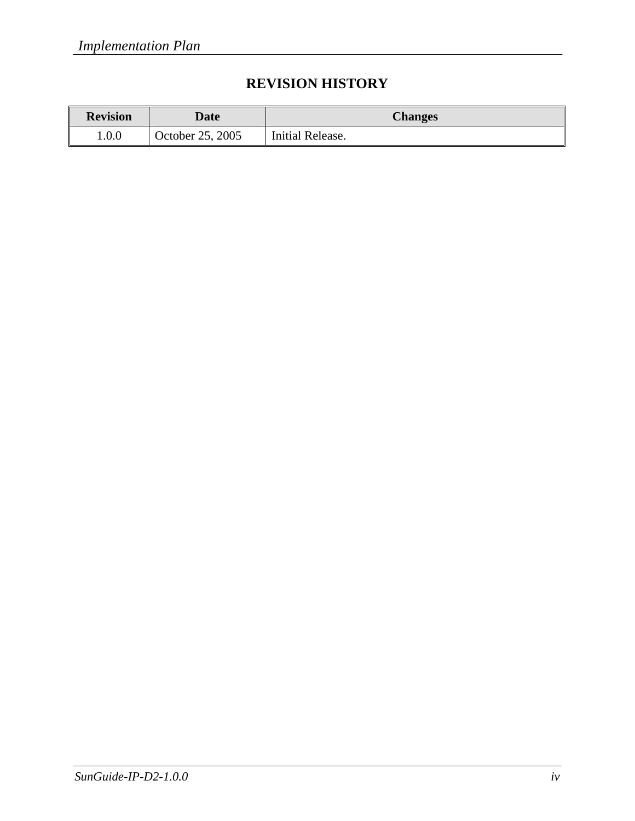## **REVISION HISTORY**

| <b>Revision</b> | Date             | <b>Changes</b>   |
|-----------------|------------------|------------------|
| 1.0.0           | October 25, 2005 | Initial Release. |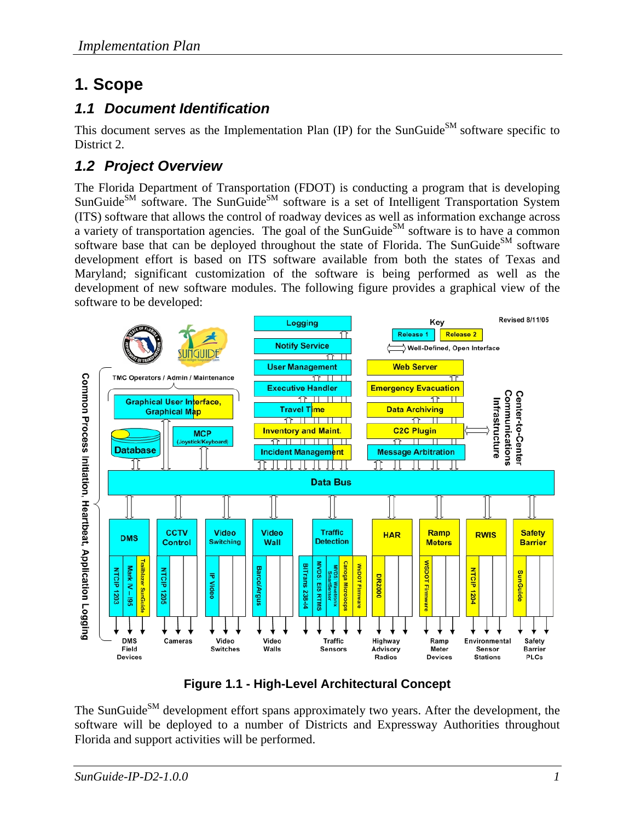# **1. Scope**

### *1.1 Document Identification*

This document serves as the Implementation Plan (IP) for the SunGuide<sup>SM</sup> software specific to District 2.

## *1.2 Project Overview*

The Florida Department of Transportation (FDOT) is conducting a program that is developing  $S$ unGuide<sup>SM</sup> software. The SunGuide<sup>SM</sup> software is a set of Intelligent Transportation System (ITS) software that allows the control of roadway devices as well as information exchange across a variety of transportation agencies. The goal of the SunGuide<sup>SM</sup> software is to have a common software base that can be deployed throughout the state of Florida. The SunGuide<sup>SM</sup> software development effort is based on ITS software available from both the states of Texas and Maryland; significant customization of the software is being performed as well as the development of new software modules. The following figure provides a graphical view of the software to be developed:



**Figure 1.1 - High-Level Architectural Concept** 

The SunGuide<sup>SM</sup> development effort spans approximately two years. After the development, the software will be deployed to a number of Districts and Expressway Authorities throughout Florida and support activities will be performed.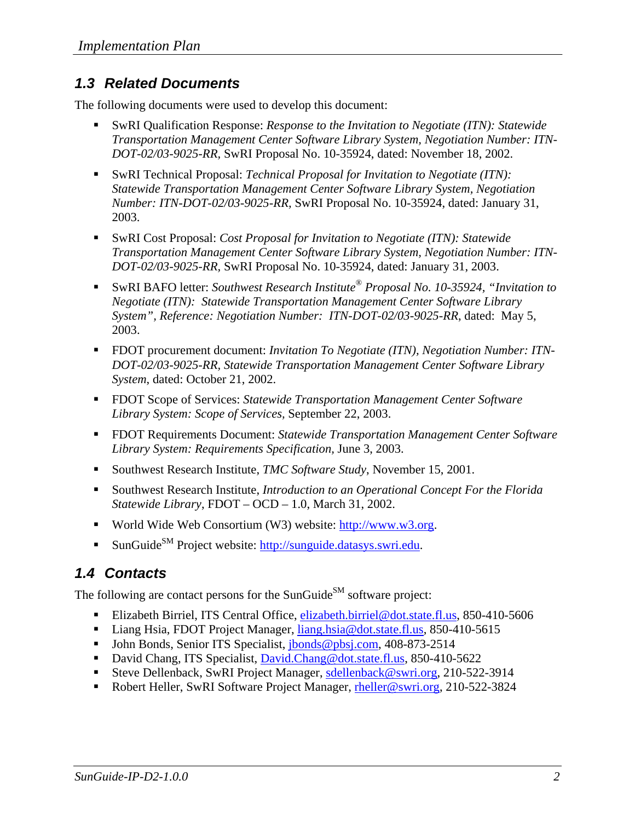### *1.3 Related Documents*

The following documents were used to develop this document:

- SwRI Qualification Response: *Response to the Invitation to Negotiate (ITN): Statewide Transportation Management Center Software Library System, Negotiation Number: ITN-DOT-02/03-9025-RR,* SwRI Proposal No. 10-35924, dated: November 18, 2002.
- SwRI Technical Proposal: *Technical Proposal for Invitation to Negotiate (ITN): Statewide Transportation Management Center Software Library System, Negotiation Number: ITN-DOT-02/03-9025-RR,* SwRI Proposal No. 10-35924, dated: January 31, 2003.
- SwRI Cost Proposal: *Cost Proposal for Invitation to Negotiate (ITN): Statewide Transportation Management Center Software Library System, Negotiation Number: ITN-DOT-02/03-9025-RR,* SwRI Proposal No. 10-35924, dated: January 31, 2003.
- SwRI BAFO letter: *Southwest Research Institute® Proposal No. 10-35924, "Invitation to Negotiate (ITN): Statewide Transportation Management Center Software Library System", Reference: Negotiation Number: ITN-DOT-02/03-9025-RR*, dated: May 5, 2003.
- FDOT procurement document: *Invitation To Negotiate (ITN), Negotiation Number: ITN DOT-02/03-9025-RR, Statewide Transportation Management Center Software Library System*, dated: October 21, 2002.
- FDOT Scope of Services: *Statewide Transportation Management Center Software Library System: Scope of Services,* September 22, 2003.
- FDOT Requirements Document: *Statewide Transportation Management Center Software Library System: Requirements Specification,* June 3, 2003.
- Southwest Research Institute, *TMC Software Study*, November 15, 2001.
- Southwest Research Institute, *Introduction to an Operational Concept For the Florida Statewide Library*, FDOT – OCD – 1.0, March 31, 2002.
- World Wide Web Consortium (W3) website:  $\frac{http://www.w3.org.}{http://www.w3.org.}$
- SunGuide<sup>SM</sup> Project website: http://sunguide.datasys.swri.edu.

## *1.4 Contacts*

The following are contact persons for the SunGuide<sup>SM</sup> software project:

- Elizabeth Birriel, ITS Central Office, elizabeth.birriel@dot.state.fl.us, 850-410-5606
- Liang Hsia, FDOT Project Manager, liang.hsia@dot.state.fl.us, 850-410-5615
- John Bonds, Senior ITS Specialist, jbonds@pbsj.com, 408-873-2514
- David Chang, ITS Specialist, David.Chang@dot.state.fl.us, 850-410-5622
- Steve Dellenback, SwRI Project Manager, sdellenback@swri.org, 210-522-3914
- Robert Heller, SwRI Software Project Manager, rheller@swri.org, 210-522-3824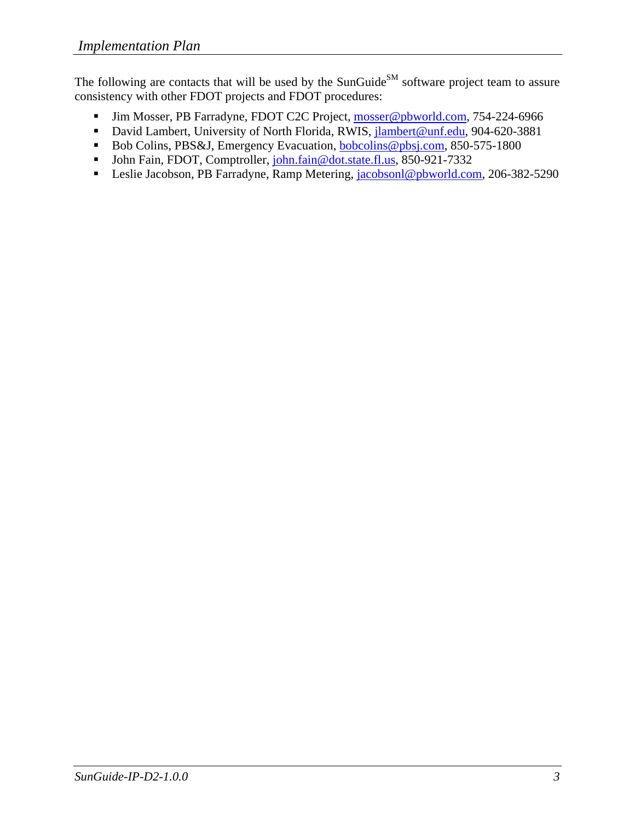The following are contacts that will be used by the SunGuide<sup>SM</sup> software project team to assure consistency with other FDOT projects and FDOT procedures:

- Iim Mosser, PB Farradyne, FDOT C2C Project, mosser@pbworld.com, 754-224-6966
- David Lambert, University of North Florida, RWIS, jlambert@unf.edu, 904-620-3881
- Bob Colins, PBS&J, Emergency Evacuation, bobcolins@pbsj.com, 850-575-1800
- John Fain, FDOT, Comptroller, john.fain@dot.state.fl.us, 850-921-7332
- Leslie Jacobson, PB Farradyne, Ramp Metering, jacobsonl@pbworld.com, 206-382-5290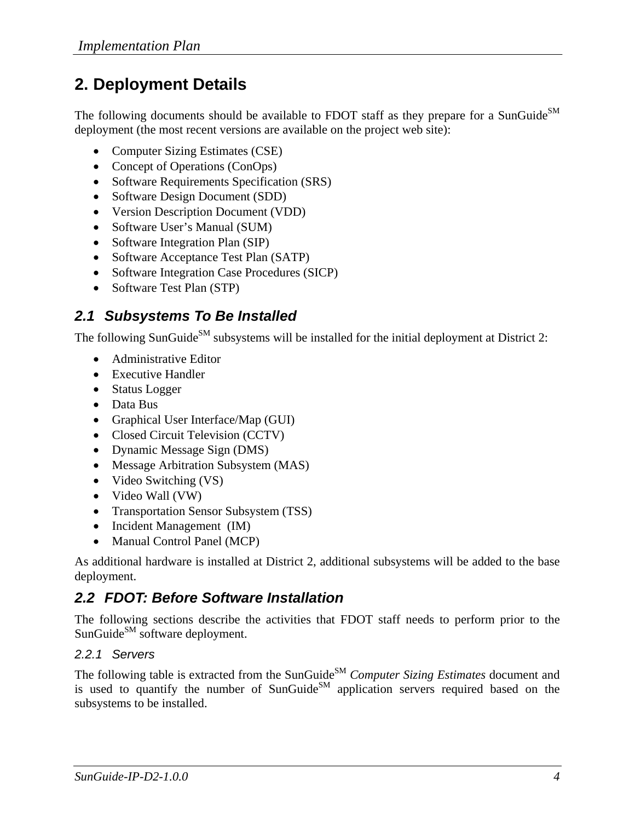# **2. Deployment Details**

The following documents should be available to FDOT staff as they prepare for a SunGuide<sup>SM</sup> deployment (the most recent versions are available on the project web site):

- Computer Sizing Estimates (CSE)
- Concept of Operations (ConOps)
- Software Requirements Specification (SRS)
- Software Design Document (SDD)
- Version Description Document (VDD)
- Software User's Manual (SUM)
- Software Integration Plan (SIP)
- Software Acceptance Test Plan (SATP)
- Software Integration Case Procedures (SICP)
- Software Test Plan (STP)

## *2.1 Subsystems To Be Installed*

The following SunGuide<sup>SM</sup> subsystems will be installed for the initial deployment at District 2:

- Administrative Editor
- Executive Handler
- Status Logger
- Data Bus
- Graphical User Interface/Map (GUI)
- Closed Circuit Television (CCTV)
- Dynamic Message Sign (DMS)
- Message Arbitration Subsystem (MAS)
- Video Switching (VS)
- Video Wall (VW)
- Transportation Sensor Subsystem (TSS)
- Incident Management (IM)
- Manual Control Panel (MCP)

As additional hardware is installed at District 2, additional subsystems will be added to the base deployment.

## *2.2 FDOT: Before Software Installation*

The following sections describe the activities that FDOT staff needs to perform prior to the SunGuide<sup>SM</sup> software deployment.

### *2.2.1 Servers*

The following table is extracted from the SunGuide<sup>SM</sup> *Computer Sizing Estimates* document and is used to quantify the number of  $SunGuide<sup>SM</sup>$  application servers required based on the subsystems to be installed.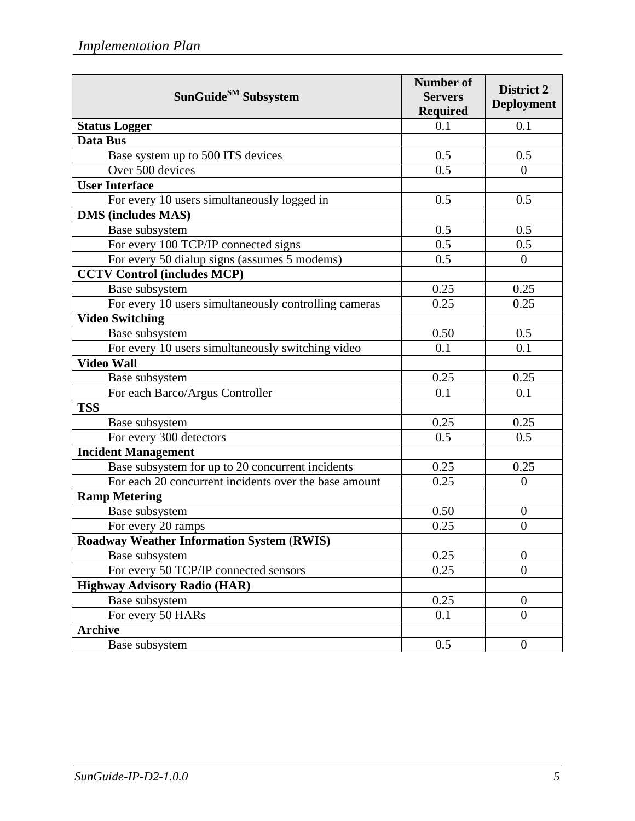| SunGuide <sup>SM</sup> Subsystem                      | <b>Number of</b><br><b>Servers</b><br><b>Required</b> | District 2<br><b>Deployment</b> |
|-------------------------------------------------------|-------------------------------------------------------|---------------------------------|
| <b>Status Logger</b>                                  | 0.1                                                   | 0.1                             |
| Data Bus                                              |                                                       |                                 |
| Base system up to 500 ITS devices                     | 0.5                                                   | 0.5                             |
| Over 500 devices                                      | 0.5                                                   | $\overline{0}$                  |
| <b>User Interface</b>                                 |                                                       |                                 |
| For every 10 users simultaneously logged in           | 0.5                                                   | 0.5                             |
| <b>DMS</b> (includes MAS)                             |                                                       |                                 |
| Base subsystem                                        | 0.5                                                   | 0.5                             |
| For every 100 TCP/IP connected signs                  | 0.5                                                   | 0.5                             |
| For every 50 dialup signs (assumes 5 modems)          | 0.5                                                   | $\overline{0}$                  |
| <b>CCTV Control (includes MCP)</b>                    |                                                       |                                 |
| Base subsystem                                        | 0.25                                                  | 0.25                            |
| For every 10 users simultaneously controlling cameras | 0.25                                                  | 0.25                            |
| <b>Video Switching</b>                                |                                                       |                                 |
| Base subsystem                                        | 0.50                                                  | 0.5                             |
| For every 10 users simultaneously switching video     | 0.1                                                   | 0.1                             |
| <b>Video Wall</b>                                     |                                                       |                                 |
| Base subsystem                                        | 0.25                                                  | 0.25                            |
| For each Barco/Argus Controller                       | 0.1                                                   | 0.1                             |
| <b>TSS</b>                                            |                                                       |                                 |
| Base subsystem                                        | 0.25                                                  | 0.25                            |
| For every 300 detectors                               | 0.5                                                   | 0.5                             |
| <b>Incident Management</b>                            |                                                       |                                 |
| Base subsystem for up to 20 concurrent incidents      | 0.25                                                  | 0.25                            |
| For each 20 concurrent incidents over the base amount | 0.25                                                  | $\overline{0}$                  |
| <b>Ramp Metering</b>                                  |                                                       |                                 |
| Base subsystem                                        | 0.50                                                  | $\boldsymbol{0}$                |
| For every 20 ramps                                    | 0.25                                                  | $\overline{0}$                  |
| <b>Roadway Weather Information System (RWIS)</b>      |                                                       |                                 |
| Base subsystem                                        | 0.25                                                  | $\overline{0}$                  |
| For every 50 TCP/IP connected sensors                 | 0.25                                                  | $\overline{0}$                  |
| <b>Highway Advisory Radio (HAR)</b>                   |                                                       |                                 |
| Base subsystem                                        | 0.25                                                  | $\boldsymbol{0}$                |
| For every 50 HARs                                     | 0.1                                                   | $\overline{0}$                  |
| <b>Archive</b>                                        |                                                       |                                 |
| Base subsystem                                        | 0.5                                                   | $\overline{0}$                  |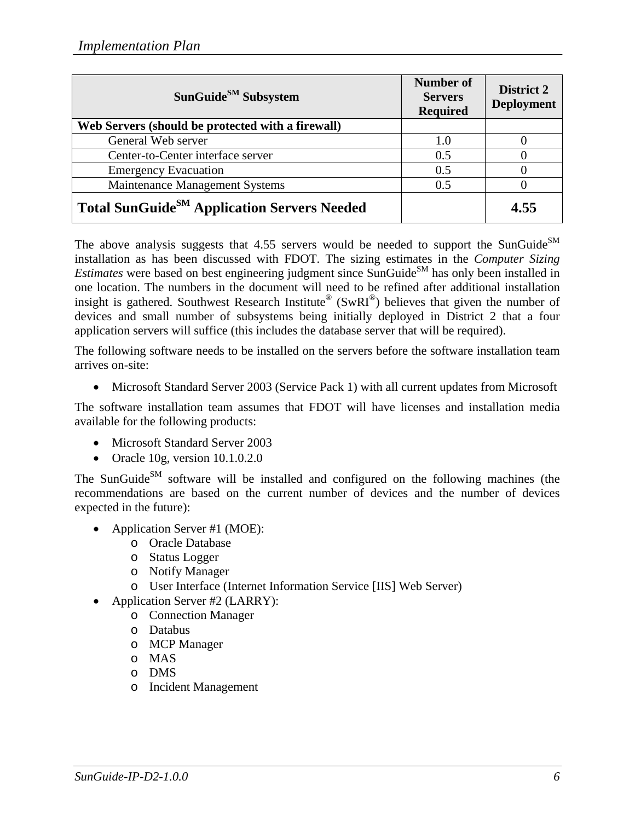| SunGuide <sup>SM</sup> Subsystem                        | Number of<br><b>Servers</b><br><b>Required</b> | District 2<br><b>Deployment</b> |
|---------------------------------------------------------|------------------------------------------------|---------------------------------|
| Web Servers (should be protected with a firewall)       |                                                |                                 |
| General Web server                                      | 1.0                                            |                                 |
| Center-to-Center interface server                       | 0.5                                            |                                 |
| <b>Emergency Evacuation</b>                             | 0.5                                            |                                 |
| Maintenance Management Systems                          | 0.5                                            |                                 |
| Total SunGuide <sup>SM</sup> Application Servers Needed |                                                | 4.55                            |

The above analysis suggests that  $4.55$  servers would be needed to support the SunGuide<sup>SM</sup> installation as has been discussed with FDOT. The sizing estimates in the *Computer Sizing Estimates* were based on best engineering judgment since SunGuide<sup>SM</sup> has only been installed in one location. The numbers in the document will need to be refined after additional installation insight is gathered. Southwest Research Institute<sup>®</sup> (SwRI<sup>®</sup>) believes that given the number of devices and small number of subsystems being initially deployed in District 2 that a four application servers will suffice (this includes the database server that will be required).

The following software needs to be installed on the servers before the software installation team arrives on-site:

• Microsoft Standard Server 2003 (Service Pack 1) with all current updates from Microsoft

The software installation team assumes that FDOT will have licenses and installation media available for the following products:

- Microsoft Standard Server 2003
- Oracle 10g, version 10.1.0.2.0

The SunGuide<sup>SM</sup> software will be installed and configured on the following machines (the recommendations are based on the current number of devices and the number of devices expected in the future):

- Application Server #1 (MOE):
	- o Oracle Database
	- o Status Logger
	- o Notify Manager
	- o User Interface (Internet Information Service [IIS] Web Server)
- Application Server #2 (LARRY):
	- o Connection Manager
	- o Databus
	- o MCP Manager
	- o MAS
	- o DMS
	- o Incident Management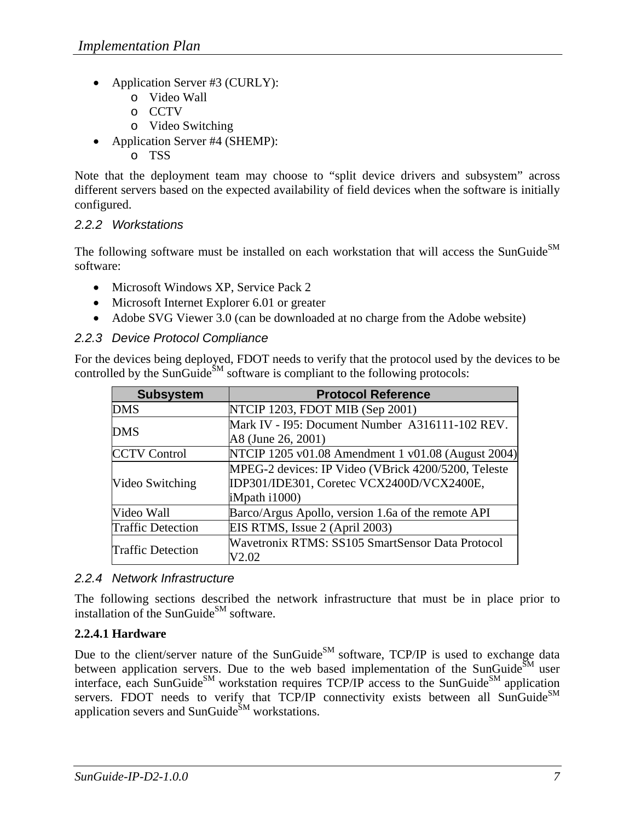- Application Server #3 (CURLY):
	- o Video Wall
	- o CCTV
	- o Video Switching
- Application Server #4 (SHEMP):
	- o TSS

Note that the deployment team may choose to "split device drivers and subsystem" across different servers based on the expected availability of field devices when the software is initially configured.

#### *2.2.2 Workstations*

The following software must be installed on each workstation that will access the SunGuide<sup>SM</sup> software:

- Microsoft Windows XP, Service Pack 2
- Microsoft Internet Explorer 6.01 or greater
- Adobe SVG Viewer 3.0 (can be downloaded at no charge from the Adobe website)

#### *2.2.3 Device Protocol Compliance*

For the devices being deployed, FDOT needs to verify that the protocol used by the devices to be controlled by the SunGuide<sup>SM</sup> software is compliant to the following protocols:

| <b>Subsystem</b>         | <b>Protocol Reference</b>                           |
|--------------------------|-----------------------------------------------------|
| <b>DMS</b>               | NTCIP 1203, FDOT MIB (Sep 2001)                     |
| <b>DMS</b>               | Mark IV - I95: Document Number A316111-102 REV.     |
|                          | A8 (June 26, 2001)                                  |
| <b>CCTV Control</b>      | NTCIP 1205 v01.08 Amendment 1 v01.08 (August 2004)  |
|                          | MPEG-2 devices: IP Video (VBrick 4200/5200, Teleste |
| Video Switching          | IDP301/IDE301, Coretec VCX2400D/VCX2400E,           |
|                          | iMpath i1000)                                       |
| Video Wall               | Barco/Argus Apollo, version 1.6a of the remote API  |
| <b>Traffic Detection</b> | EIS RTMS, Issue 2 (April 2003)                      |
| <b>Traffic Detection</b> | Wavetronix RTMS: SS105 SmartSensor Data Protocol    |
|                          | V2.02                                               |

#### *2.2.4 Network Infrastructure*

The following sections described the network infrastructure that must be in place prior to installation of the SunGuide<sup>SM</sup> software.

#### **2.2.4.1 Hardware**

Due to the client/server nature of the SunGuide<sup>SM</sup> software, TCP/IP is used to exchange data between application servers. Due to the web based implementation of the SunGuide $^{SM}$  user interface, each SunGuide<sup>SM</sup> workstation requires  $TCP/IP$  access to the SunGuide<sup>SM</sup> application servers. FDOT needs to verify that TCP/IP connectivity exists between all SunGuide $^{SM}$ application severs and SunGuide<sup>SM</sup> workstations.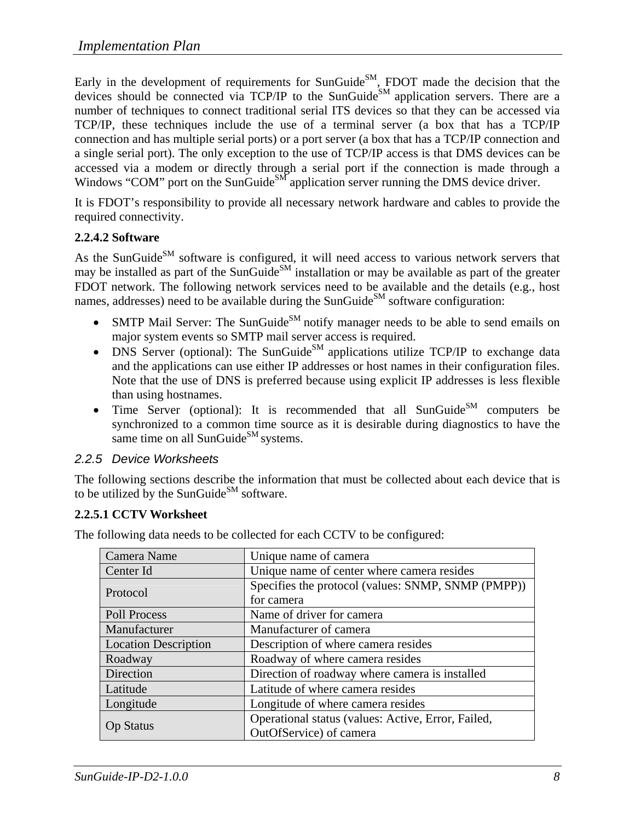Early in the development of requirements for SunGuide $^{SM}$ , FDOT made the decision that the devices should be connected via TCP/IP to the SunGuide<sup>SM</sup> application servers. There are a number of techniques to connect traditional serial ITS devices so that they can be accessed via TCP/IP, these techniques include the use of a terminal server (a box that has a TCP/IP connection and has multiple serial ports) or a port server (a box that has a TCP/IP connection and a single serial port). The only exception to the use of TCP/IP access is that DMS devices can be accessed via a modem or directly through a serial port if the connection is made through a Windows "COM" port on the SunGuide<sup>SM</sup> application server running the DMS device driver.

It is FDOT's responsibility to provide all necessary network hardware and cables to provide the required connectivity.

#### **2.2.4.2 Software**

As the SunGuide<sup>SM</sup> software is configured, it will need access to various network servers that may be installed as part of the SunGuide<sup>SM</sup> installation or may be available as part of the greater FDOT network. The following network services need to be available and the details (e.g., host names, addresses) need to be available during the SunGuide<sup>SM</sup> software configuration:

- SMTP Mail Server: The SunGuide<sup>SM</sup> notify manager needs to be able to send emails on major system events so SMTP mail server access is required.
- DNS Server (optional): The SunGuide<sup>SM</sup> applications utilize TCP/IP to exchange data and the applications can use either IP addresses or host names in their configuration files. Note that the use of DNS is preferred because using explicit IP addresses is less flexible than using hostnames.
- Time Server (optional): It is recommended that all SunGuide<sup>SM</sup> computers be synchronized to a common time source as it is desirable during diagnostics to have the same time on all SunGuide $^{SM}$  systems.

#### *2.2.5 Device Worksheets*

The following sections describe the information that must be collected about each device that is to be utilized by the SunGuide<sup>SM</sup> software.

#### **2.2.5.1 CCTV Worksheet**

| Camera Name                 | Unique name of camera                              |
|-----------------------------|----------------------------------------------------|
| Center Id                   | Unique name of center where camera resides         |
| Protocol                    | Specifies the protocol (values: SNMP, SNMP (PMPP)) |
|                             | for camera                                         |
| <b>Poll Process</b>         | Name of driver for camera                          |
| Manufacturer                | Manufacturer of camera                             |
| <b>Location Description</b> | Description of where camera resides                |
| Roadway                     | Roadway of where camera resides                    |
| Direction                   | Direction of roadway where camera is installed     |
| Latitude                    | Latitude of where camera resides                   |
| Longitude                   | Longitude of where camera resides                  |
|                             | Operational status (values: Active, Error, Failed, |
| <b>Op Status</b>            | OutOfService) of camera                            |

The following data needs to be collected for each CCTV to be configured: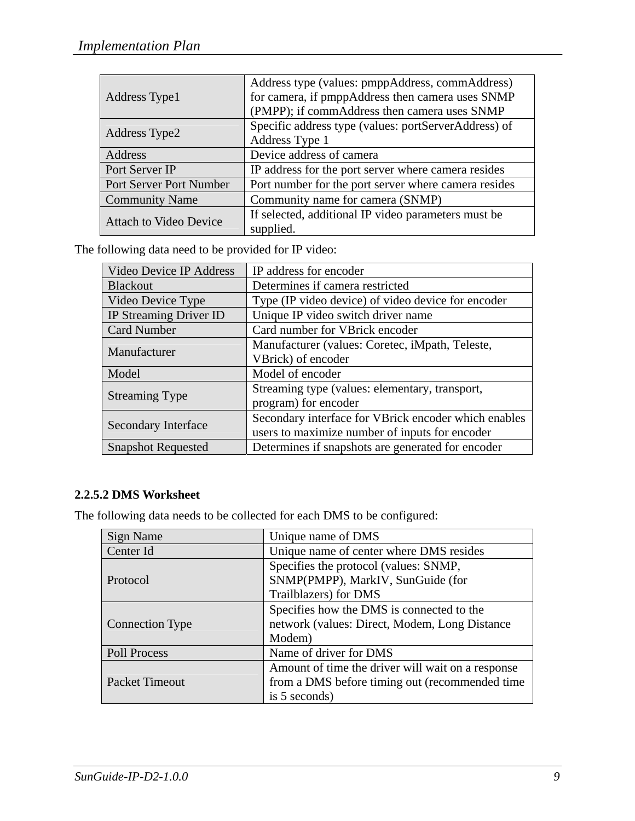|                               | Address type (values: pmppAddress, commAddress)      |
|-------------------------------|------------------------------------------------------|
| Address Type1                 | for camera, if pmppAddress then camera uses SNMP     |
|                               | (PMPP); if commAddress then camera uses SNMP         |
|                               | Specific address type (values: portServerAddress) of |
| Address Type2                 | Address Type 1                                       |
| Address                       | Device address of camera                             |
| Port Server IP                | IP address for the port server where camera resides  |
| Port Server Port Number       | Port number for the port server where camera resides |
| <b>Community Name</b>         | Community name for camera (SNMP)                     |
| <b>Attach to Video Device</b> | If selected, additional IP video parameters must be  |
|                               | supplied.                                            |

The following data need to be provided for IP video:

| Video Device IP Address    | IP address for encoder                               |
|----------------------------|------------------------------------------------------|
| <b>Blackout</b>            | Determines if camera restricted                      |
| Video Device Type          | Type (IP video device) of video device for encoder   |
| IP Streaming Driver ID     | Unique IP video switch driver name                   |
| <b>Card Number</b>         | Card number for VBrick encoder                       |
| Manufacturer               | Manufacturer (values: Coretec, iMpath, Teleste,      |
|                            | VBrick) of encoder                                   |
| Model                      | Model of encoder                                     |
| <b>Streaming Type</b>      | Streaming type (values: elementary, transport,       |
|                            | program) for encoder                                 |
|                            | Secondary interface for VBrick encoder which enables |
| <b>Secondary Interface</b> | users to maximize number of inputs for encoder       |
| <b>Snapshot Requested</b>  | Determines if snapshots are generated for encoder    |

#### **2.2.5.2 DMS Worksheet**

The following data needs to be collected for each DMS to be configured:

| Sign Name              | Unique name of DMS                                |
|------------------------|---------------------------------------------------|
| Center Id              | Unique name of center where DMS resides           |
|                        | Specifies the protocol (values: SNMP,             |
| Protocol               | SNMP(PMPP), MarkIV, SunGuide (for                 |
|                        | Trailblazers) for DMS                             |
|                        | Specifies how the DMS is connected to the         |
| <b>Connection Type</b> | network (values: Direct, Modem, Long Distance     |
|                        | Modem)                                            |
| Poll Process           | Name of driver for DMS                            |
|                        | Amount of time the driver will wait on a response |
| <b>Packet Timeout</b>  | from a DMS before timing out (recommended time    |
|                        | is 5 seconds)                                     |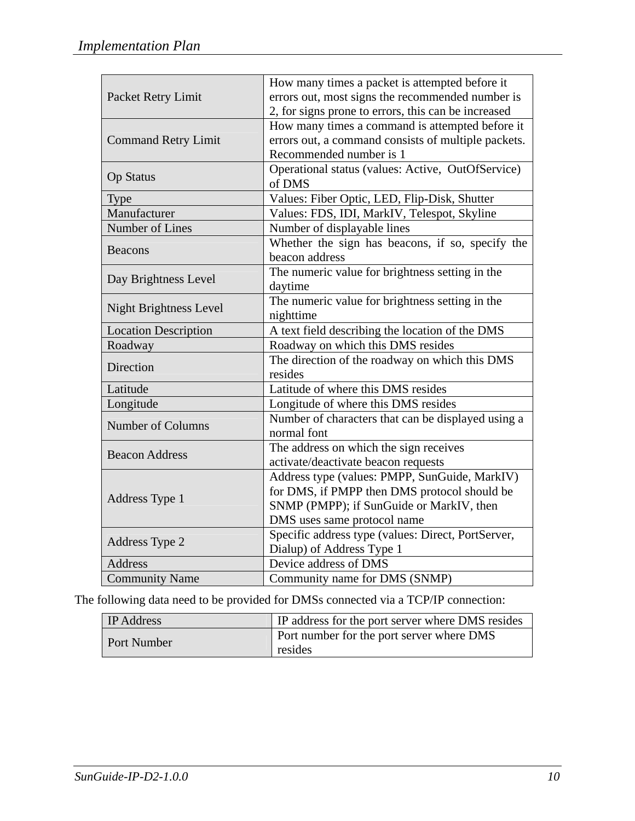| Packet Retry Limit            | How many times a packet is attempted before it<br>errors out, most signs the recommended number is<br>2, for signs prone to errors, this can be increased                |
|-------------------------------|--------------------------------------------------------------------------------------------------------------------------------------------------------------------------|
| <b>Command Retry Limit</b>    | How many times a command is attempted before it<br>errors out, a command consists of multiple packets.<br>Recommended number is 1                                        |
| <b>Op Status</b>              | Operational status (values: Active, OutOfService)<br>of DMS                                                                                                              |
| <b>Type</b>                   | Values: Fiber Optic, LED, Flip-Disk, Shutter                                                                                                                             |
| Manufacturer                  | Values: FDS, IDI, MarkIV, Telespot, Skyline                                                                                                                              |
| Number of Lines               | Number of displayable lines                                                                                                                                              |
| <b>Beacons</b>                | Whether the sign has beacons, if so, specify the<br>beacon address                                                                                                       |
| Day Brightness Level          | The numeric value for brightness setting in the<br>daytime                                                                                                               |
| <b>Night Brightness Level</b> | The numeric value for brightness setting in the<br>nighttime                                                                                                             |
| <b>Location Description</b>   | A text field describing the location of the DMS                                                                                                                          |
| Roadway                       | Roadway on which this DMS resides                                                                                                                                        |
| Direction                     | The direction of the roadway on which this DMS<br>resides                                                                                                                |
| Latitude                      | Latitude of where this DMS resides                                                                                                                                       |
| Longitude                     | Longitude of where this DMS resides                                                                                                                                      |
| Number of Columns             | Number of characters that can be displayed using a<br>normal font                                                                                                        |
| <b>Beacon Address</b>         | The address on which the sign receives<br>activate/deactivate beacon requests                                                                                            |
| Address Type 1                | Address type (values: PMPP, SunGuide, MarkIV)<br>for DMS, if PMPP then DMS protocol should be<br>SNMP (PMPP); if SunGuide or MarkIV, then<br>DMS uses same protocol name |
| Address Type 2                | Specific address type (values: Direct, PortServer,<br>Dialup) of Address Type 1                                                                                          |
| <b>Address</b>                | Device address of DMS                                                                                                                                                    |
| <b>Community Name</b>         | Community name for DMS (SNMP)                                                                                                                                            |

The following data need to be provided for DMSs connected via a TCP/IP connection:

| <b>IP</b> Address | <b>IP</b> address for the port server where DMS resides |
|-------------------|---------------------------------------------------------|
| Port Number       | <b>Port number for the port server where DMS</b>        |
|                   | resides                                                 |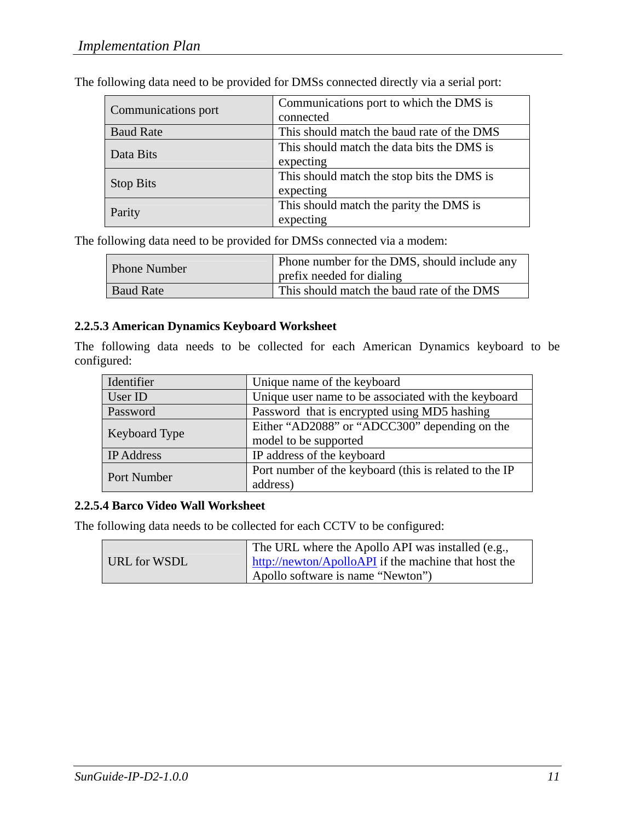| Communications port | Communications port to which the DMS is    |
|---------------------|--------------------------------------------|
|                     | connected                                  |
| <b>Baud Rate</b>    | This should match the baud rate of the DMS |
| Data Bits           | This should match the data bits the DMS is |
|                     | expecting                                  |
| <b>Stop Bits</b>    | This should match the stop bits the DMS is |
|                     | expecting                                  |
| Parity              | This should match the parity the DMS is    |
|                     | expecting                                  |

The following data need to be provided for DMSs connected directly via a serial port:

The following data need to be provided for DMSs connected via a modem:

| <b>Phone Number</b> | Phone number for the DMS, should include any<br>prefix needed for dialing |
|---------------------|---------------------------------------------------------------------------|
| <b>Baud Rate</b>    | This should match the baud rate of the DMS                                |

#### **2.2.5.3 American Dynamics Keyboard Worksheet**

The following data needs to be collected for each American Dynamics keyboard to be configured:

| Identifier           | Unique name of the keyboard                            |
|----------------------|--------------------------------------------------------|
| User ID              | Unique user name to be associated with the keyboard    |
| Password             | Password that is encrypted using MD5 hashing           |
| <b>Keyboard Type</b> | Either "AD2088" or "ADCC300" depending on the          |
|                      | model to be supported                                  |
| <b>IP</b> Address    | IP address of the keyboard                             |
| <b>Port Number</b>   | Port number of the keyboard (this is related to the IP |
|                      | address)                                               |

#### **2.2.5.4 Barco Video Wall Worksheet**

The following data needs to be collected for each CCTV to be configured:

|              | The URL where the Apollo API was installed (e.g.,    |
|--------------|------------------------------------------------------|
| URL for WSDL | http://newton/ApolloAPI if the machine that host the |
|              | Apollo software is name "Newton")                    |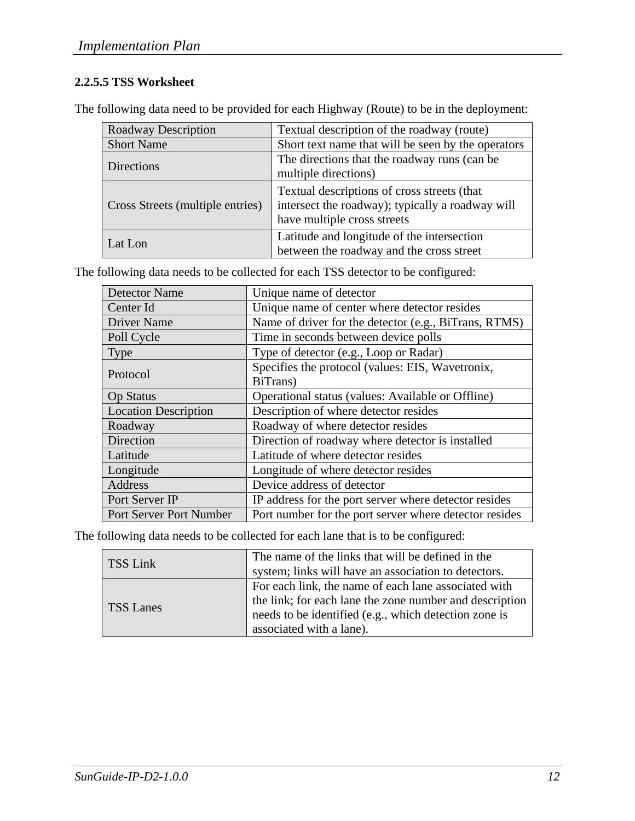### **2.2.5.5 TSS Worksheet**

The following data need to be provided for each Highway (Route) to be in the deployment:

| <b>Roadway Description</b>       | Textual description of the roadway (route)                                                                                     |
|----------------------------------|--------------------------------------------------------------------------------------------------------------------------------|
| <b>Short Name</b>                | Short text name that will be seen by the operators                                                                             |
| <b>Directions</b>                | The directions that the roadway runs (can be<br>multiple directions)                                                           |
| Cross Streets (multiple entries) | Textual descriptions of cross streets (that<br>intersect the roadway); typically a roadway will<br>have multiple cross streets |
| Lat Lon                          | Latitude and longitude of the intersection<br>between the roadway and the cross street                                         |

The following data needs to be collected for each TSS detector to be configured:

| <b>Detector Name</b>        | Unique name of detector                                |
|-----------------------------|--------------------------------------------------------|
| Center Id                   | Unique name of center where detector resides           |
| <b>Driver Name</b>          | Name of driver for the detector (e.g., BiTrans, RTMS)  |
| Poll Cycle                  | Time in seconds between device polls                   |
| <b>Type</b>                 | Type of detector (e.g., Loop or Radar)                 |
| Protocol                    | Specifies the protocol (values: EIS, Wavetronix,       |
|                             | BiTrans)                                               |
| <b>Op Status</b>            | Operational status (values: Available or Offline)      |
| <b>Location Description</b> | Description of where detector resides                  |
| Roadway                     | Roadway of where detector resides                      |
| Direction                   | Direction of roadway where detector is installed       |
| Latitude                    | Latitude of where detector resides                     |
| Longitude                   | Longitude of where detector resides                    |
| Address                     | Device address of detector                             |
| Port Server IP              | IP address for the port server where detector resides  |
| Port Server Port Number     | Port number for the port server where detector resides |

The following data needs to be collected for each lane that is to be configured:

| TSS Link         | The name of the links that will be defined in the<br>system; links will have an association to detectors.                                                                                            |
|------------------|------------------------------------------------------------------------------------------------------------------------------------------------------------------------------------------------------|
| <b>TSS Lanes</b> | For each link, the name of each lane associated with<br>the link; for each lane the zone number and description<br>needs to be identified (e.g., which detection zone is<br>associated with a lane). |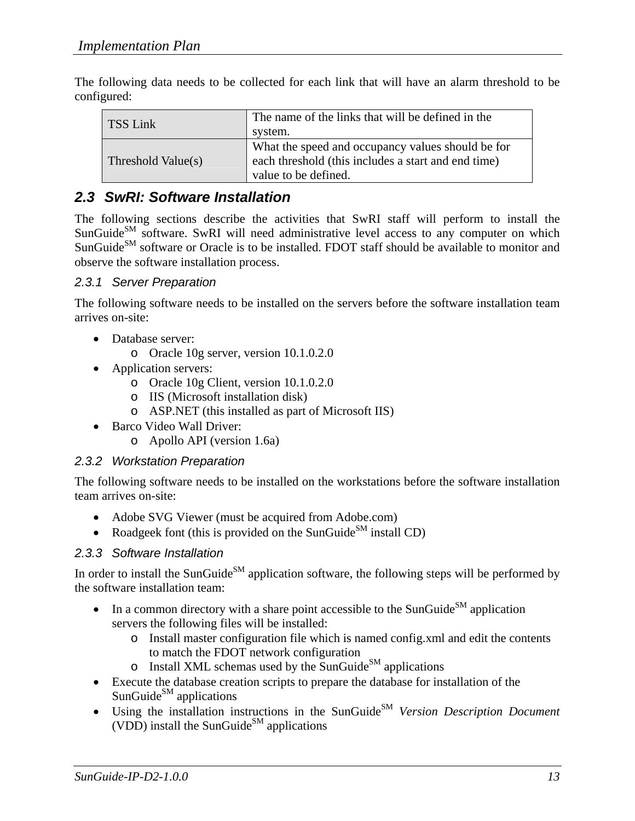The following data needs to be collected for each link that will have an alarm threshold to be configured:

| TSS Link           | The name of the links that will be defined in the<br>system.                                                                     |
|--------------------|----------------------------------------------------------------------------------------------------------------------------------|
| Threshold Value(s) | What the speed and occupancy values should be for<br>each threshold (this includes a start and end time)<br>value to be defined. |

### *2.3 SwRI: Software Installation*

The following sections describe the activities that SwRI staff will perform to install the SunGuide<sup>SM</sup> software. SwRI will need administrative level access to any computer on which SunGuide<sup>SM</sup> software or Oracle is to be installed. FDOT staff should be available to monitor and observe the software installation process.

#### *2.3.1 Server Preparation*

The following software needs to be installed on the servers before the software installation team arrives on-site:

- Database server:
	- o Oracle 10g server, version 10.1.0.2.0
- Application servers:
	- o Oracle 10g Client, version 10.1.0.2.0
	- o IIS (Microsoft installation disk)
	- o ASP.NET (this installed as part of Microsoft IIS)
- Barco Video Wall Driver:
	- o Apollo API (version 1.6a)

#### *2.3.2 Workstation Preparation*

The following software needs to be installed on the workstations before the software installation team arrives on-site:

- Adobe SVG Viewer (must be acquired from Adobe.com)
- Roadgeek font (this is provided on the SunGuide<sup>SM</sup> install CD)

#### *2.3.3 Software Installation*

In order to install the SunGuide<sup>SM</sup> application software, the following steps will be performed by the software installation team:

- In a common directory with a share point accessible to the SunGuide<sup>SM</sup> application servers the following files will be installed:
	- o Install master configuration file which is named config.xml and edit the contents to match the FDOT network configuration
	- $\circ$  Install XML schemas used by the SunGuide<sup>SM</sup> applications
- Execute the database creation scripts to prepare the database for installation of the SunGuide $^{SM}$  applications
- Using the installation instructions in the SunGuide<sup>SM</sup> *Version Description Document* (VDD) install the SunGuide<sup>SM</sup> applications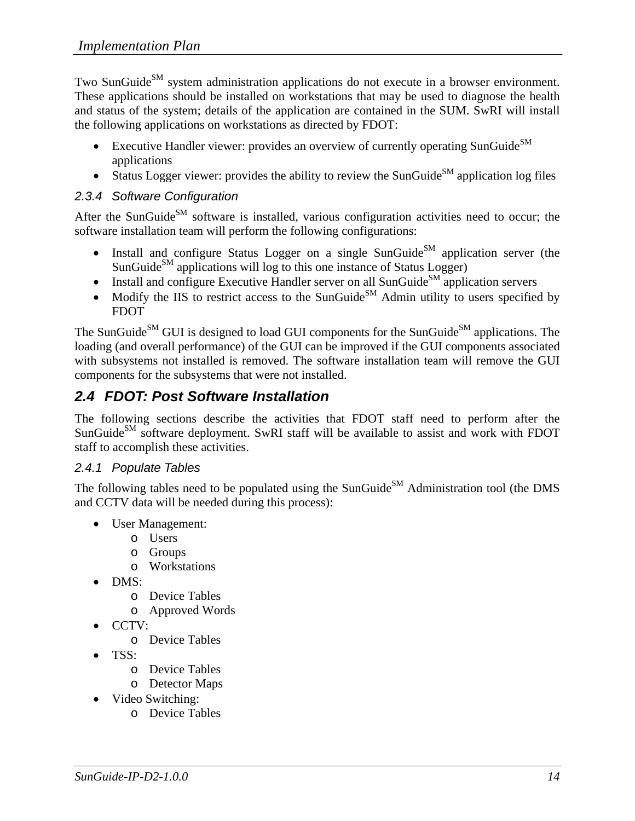Two SunGuide<sup>SM</sup> system administration applications do not execute in a browser environment. These applications should be installed on workstations that may be used to diagnose the health and status of the system; details of the application are contained in the SUM. SwRI will install the following applications on workstations as directed by FDOT:

- Executive Handler viewer: provides an overview of currently operating SunGuide $^{SM}$ applications
- Status Logger viewer: provides the ability to review the SunGuide<sup>SM</sup> application log files

#### *2.3.4 Software Configuration*

After the SunGuide<sup>SM</sup> software is installed, various configuration activities need to occur; the software installation team will perform the following configurations:

- Install and configure Status Logger on a single SunGuide<sup>SM</sup> application server (the SunGuide<sup>SM</sup> applications will log to this one instance of Status Logger)
- Install and configure Executive Handler server on all SunGuide<sup>SM</sup> application servers
- Modify the IIS to restrict access to the SunGuide<sup>SM</sup> Admin utility to users specified by FDOT

The SunGuide<sup>SM</sup> GUI is designed to load GUI components for the SunGuide<sup>SM</sup> applications. The loading (and overall performance) of the GUI can be improved if the GUI components associated with subsystems not installed is removed. The software installation team will remove the GUI components for the subsystems that were not installed.

## *2.4 FDOT: Post Software Installation*

The following sections describe the activities that FDOT staff need to perform after the SunGuide<sup>SM</sup> software deployment. SwRI staff will be available to assist and work with FDOT staff to accomplish these activities.

### *2.4.1 Populate Tables*

The following tables need to be populated using the SunGuide<sup>SM</sup> Administration tool (the DMS and CCTV data will be needed during this process):

- User Management:
	- o Users
	- o Groups
	- o Workstations
- DMS:
	- o Device Tables
	- o Approved Words
- CCTV:
	- o Device Tables
- TSS:
	- o Device Tables
	- o Detector Maps
- Video Switching:
	- o Device Tables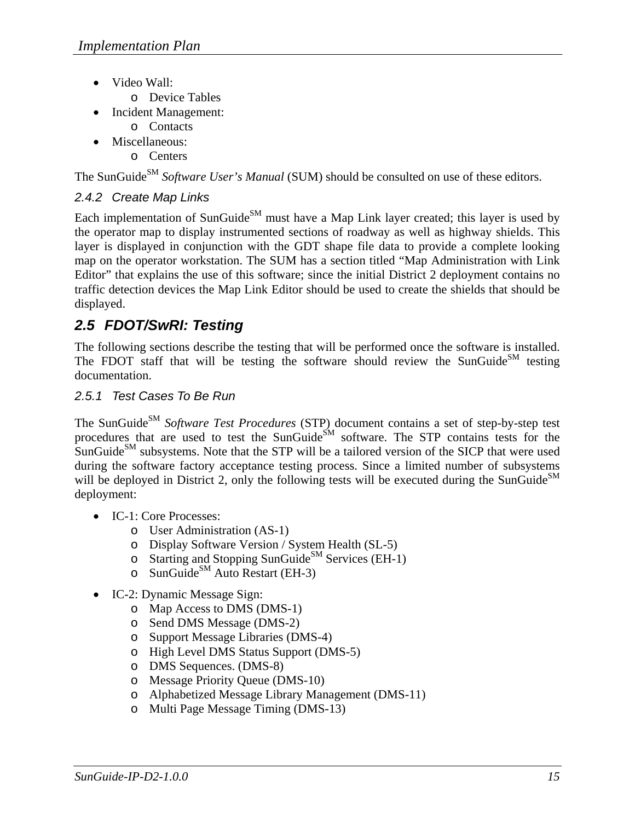- Video Wall:
	- o Device Tables
- Incident Management:
	- o Contacts
- Miscellaneous:
	- o Centers

The SunGuide<sup>SM</sup> *Software User's Manual* (SUM) should be consulted on use of these editors.

### *2.4.2 Create Map Links*

Each implementation of SunGuide<sup>SM</sup> must have a Map Link layer created; this layer is used by the operator map to display instrumented sections of roadway as well as highway shields. This layer is displayed in conjunction with the GDT shape file data to provide a complete looking map on the operator workstation. The SUM has a section titled "Map Administration with Link Editor" that explains the use of this software; since the initial District 2 deployment contains no traffic detection devices the Map Link Editor should be used to create the shields that should be displayed.

## *2.5 FDOT/SwRI: Testing*

The following sections describe the testing that will be performed once the software is installed. The FDOT staff that will be testing the software should review the SunGuide<sup>SM</sup> testing documentation.

### *2.5.1 Test Cases To Be Run*

The SunGuide<sup>SM</sup> Software Test Procedures (STP) document contains a set of step-by-step test procedures that are used to test the SunGuide<sup>SM</sup> software. The STP contains tests for the  $\text{SunGuide}^{\text{SM}}$  subsystems. Note that the STP will be a tailored version of the SICP that were used during the software factory acceptance testing process. Since a limited number of subsystems will be deployed in District 2, only the following tests will be executed during the SunGuide $\text{SM}$ deployment:

- IC-1: Core Processes:
	- o User Administration (AS-1)
	- o Display Software Version / System Health (SL-5)
	- o Starting and Stopping SunGuide<sup>SM</sup> Services (EH-1)
	- $\circ$  SunGuide<sup>SM</sup> Auto Restart (EH-3)
- IC-2: Dynamic Message Sign:
	- o Map Access to DMS (DMS-1)
	- o Send DMS Message (DMS-2)
	- o Support Message Libraries (DMS-4)
	- o High Level DMS Status Support (DMS-5)
	- o DMS Sequences. (DMS-8)
	- o Message Priority Queue (DMS-10)
	- o Alphabetized Message Library Management (DMS-11)
	- o Multi Page Message Timing (DMS-13)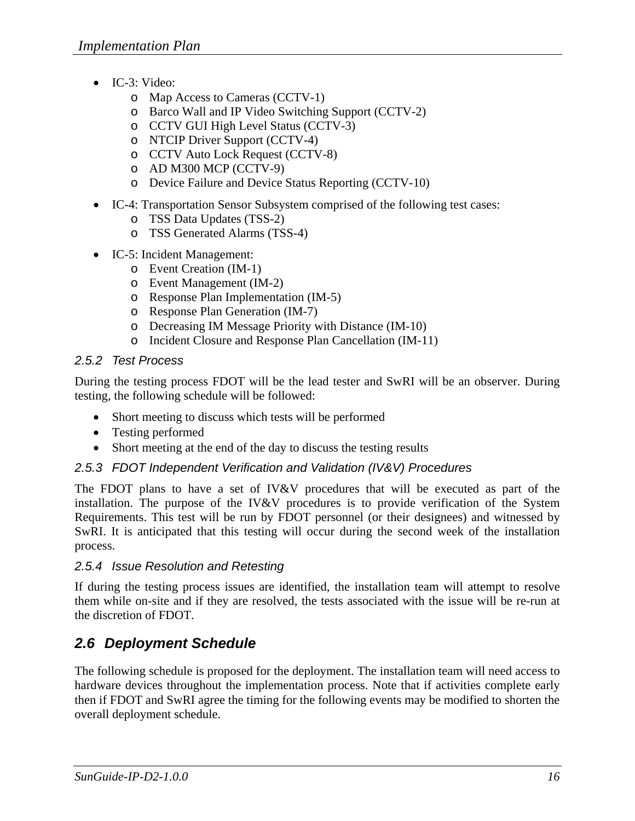- IC-3: Video:
	- o Map Access to Cameras (CCTV-1)
	- o Barco Wall and IP Video Switching Support (CCTV-2)
	- o CCTV GUI High Level Status (CCTV-3)
	- o NTCIP Driver Support (CCTV-4)
	- o CCTV Auto Lock Request (CCTV-8)
	- o AD M300 MCP (CCTV-9)
	- o Device Failure and Device Status Reporting (CCTV-10)
- IC-4: Transportation Sensor Subsystem comprised of the following test cases:
	- o TSS Data Updates (TSS-2)
	- o TSS Generated Alarms (TSS-4)
- IC-5: Incident Management:
	- o Event Creation (IM-1)
	- o Event Management (IM-2)
	- o Response Plan Implementation (IM-5)
	- o Response Plan Generation (IM-7)
	- o Decreasing IM Message Priority with Distance (IM-10)
	- o Incident Closure and Response Plan Cancellation (IM-11)

### *2.5.2 Test Process*

During the testing process FDOT will be the lead tester and SwRI will be an observer. During testing, the following schedule will be followed:

- Short meeting to discuss which tests will be performed
- Testing performed
- Short meeting at the end of the day to discuss the testing results

### *2.5.3 FDOT Independent Verification and Validation (IV&V) Procedures*

The FDOT plans to have a set of IV&V procedures that will be executed as part of the installation. The purpose of the IV&V procedures is to provide verification of the System Requirements. This test will be run by FDOT personnel (or their designees) and witnessed by SwRI. It is anticipated that this testing will occur during the second week of the installation process.

#### *2.5.4 Issue Resolution and Retesting*

If during the testing process issues are identified, the installation team will attempt to resolve them while on-site and if they are resolved, the tests associated with the issue will be re-run at the discretion of FDOT.

## *2.6 Deployment Schedule*

The following schedule is proposed for the deployment. The installation team will need access to hardware devices throughout the implementation process. Note that if activities complete early then if FDOT and SwRI agree the timing for the following events may be modified to shorten the overall deployment schedule.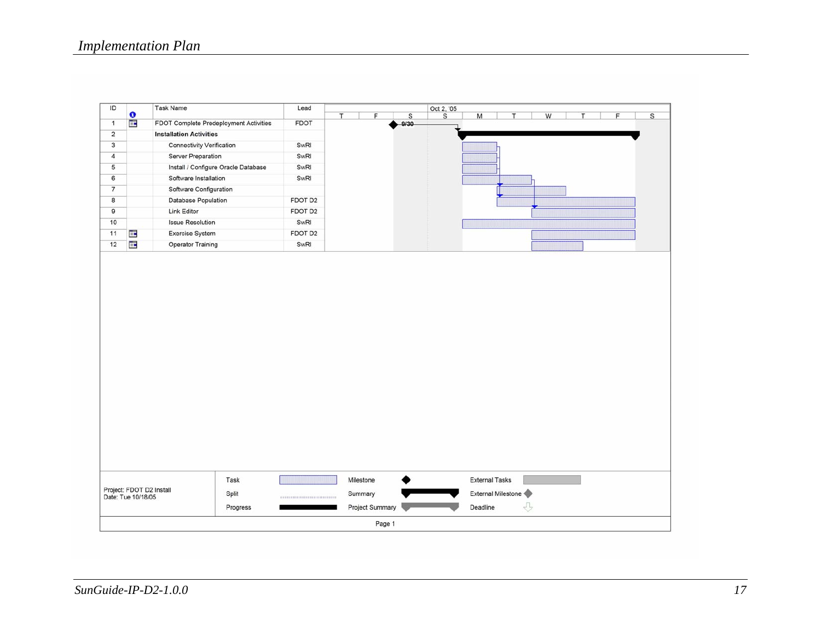